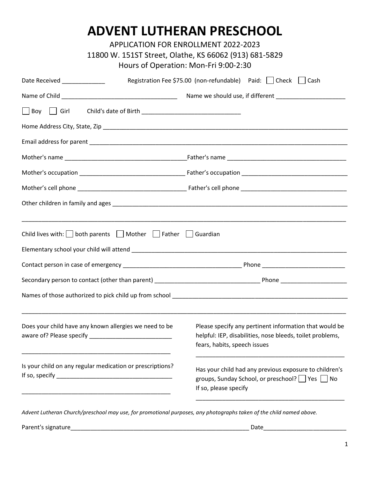## **ADVENT LUTHERAN PRESCHOOL**

APPLICATION FOR ENROLLMENT 2022-2023

## Hours of Operation: Mon-Fri 9:00-2:30

| Date Received ____________                                                        | Registration Fee \$75.00 (non-refundable) Paid:   Check   Cash                                                                                      |
|-----------------------------------------------------------------------------------|-----------------------------------------------------------------------------------------------------------------------------------------------------|
|                                                                                   |                                                                                                                                                     |
| Boy U Girl                                                                        |                                                                                                                                                     |
|                                                                                   |                                                                                                                                                     |
|                                                                                   |                                                                                                                                                     |
|                                                                                   |                                                                                                                                                     |
|                                                                                   |                                                                                                                                                     |
|                                                                                   |                                                                                                                                                     |
|                                                                                   |                                                                                                                                                     |
|                                                                                   |                                                                                                                                                     |
| Child lives with: $\Box$ both parents $\Box$ Mother $\Box$ Father $\Box$ Guardian |                                                                                                                                                     |
|                                                                                   |                                                                                                                                                     |
|                                                                                   |                                                                                                                                                     |
|                                                                                   |                                                                                                                                                     |
|                                                                                   |                                                                                                                                                     |
|                                                                                   |                                                                                                                                                     |
| Does your child have any known allergies we need to be                            | Please specify any pertinent information that would be<br>helpful: IEP, disabilities, nose bleeds, toilet problems,<br>fears, habits, speech issues |
| Is your child on any regular medication or prescriptions?                         | Has your child had any previous exposure to children's<br>groups, Sunday School, or preschool?   Yes   No<br>If so, please specify                  |
|                                                                                   |                                                                                                                                                     |

*Advent Lutheran Church/preschool may use, for promotional purposes, any photographs taken of the child named above.*

Parent's signature\_\_\_\_\_\_\_\_\_\_\_\_\_\_\_\_\_\_\_\_\_\_\_\_\_\_\_\_\_\_\_\_\_\_\_\_\_\_\_\_\_\_\_\_\_\_\_\_\_\_\_\_\_\_ Date\_\_\_\_\_\_\_\_\_\_\_\_\_\_\_\_\_\_\_\_\_\_\_\_\_